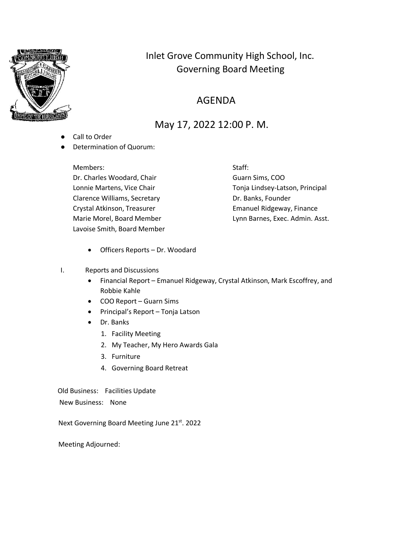

# Inlet Grove Community High School, Inc. Governing Board Meeting

## AGENDA

## May 17, 2022 12:00 P. M.

- Call to Order
- Determination of Quorum:

Members: Staff: Dr. Charles Woodard, Chair Guarn Sims, COO Clarence Williams, Secretary **Exercise 20 Figure 12 Clarence Williams**, Secretary Crystal Atkinson, Treasurer **Emanuel Ridgeway, Finance** Lavoise Smith, Board Member

Lonnie Martens, Vice Chair The Chair Tonja Lindsey-Latson, Principal Marie Morel, Board Member **Lynn Barnes, Exec. Admin. Asst.** 

- Officers Reports Dr. Woodard
- I. Reports and Discussions
	- Financial Report Emanuel Ridgeway, Crystal Atkinson, Mark Escoffrey, and Robbie Kahle
	- COO Report Guarn Sims
	- Principal's Report Tonja Latson
	- Dr. Banks
		- 1. Facility Meeting
		- 2. My Teacher, My Hero Awards Gala
		- 3. Furniture
		- 4. Governing Board Retreat

Old Business: Facilities Update

New Business: None

Next Governing Board Meeting June 21st. 2022

Meeting Adjourned: